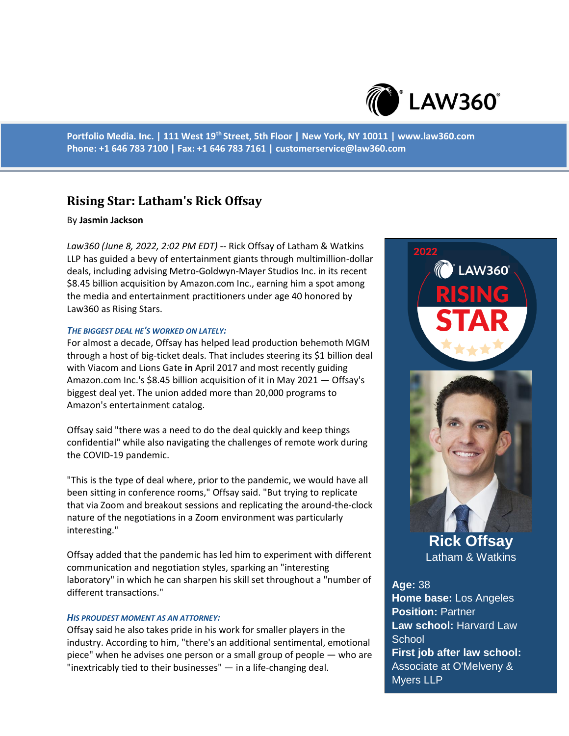

**Portfolio Media. Inc. | 111 West 19th Street, 5th Floor | New York, NY 10011 | www.law360.com Phone: +1 646 783 7100 | Fax: +1 646 783 7161 | customerservice@law360.com**

# **Rising Star: Latham's Rick Offsay**

# By **Jasmin Jackson**

*Law360 (June 8, 2022, 2:02 PM EDT)* -- Rick Offsay of Latham & Watkins LLP has guided a bevy of entertainment giants through multimillion-dollar deals, including advising Metro-Goldwyn-Mayer Studios Inc. in its recent \$8.45 billion acquisition by Amazon.com Inc., earning him a spot among the media and entertainment practitioners under age 40 honored by Law360 as Rising Stars.

### *THE BIGGEST DEAL HE'S WORKED ON LATELY:*

For almost a decade, Offsay has helped lead production behemoth MGM through a host of big-ticket deals. That includes steering its \$1 billion deal with Viacom and Lions Gate **in** April 2017 and most recently guiding Amazon.com Inc.'s \$8.45 billion acquisition of it in May 2021 — Offsay's biggest deal yet. The union added more than 20,000 programs to Amazon's entertainment catalog.

Offsay said "there was a need to do the deal quickly and keep things confidential" while also navigating the challenges of remote work during the COVID-19 pandemic.

"This is the type of deal where, prior to the pandemic, we would have all been sitting in conference rooms," Offsay said. "But trying to replicate that via Zoom and breakout sessions and replicating the around-the-clock nature of the negotiations in a Zoom environment was particularly interesting."

Offsay added that the pandemic has led him to experiment with different communication and negotiation styles, sparking an "interesting laboratory" in which he can sharpen his skill set throughout a "number of different transactions."

### *HIS PROUDEST MOMENT AS AN ATTORNEY:*

Offsay said he also takes pride in his work for smaller players in the industry. According to him, "there's an additional sentimental, emotional piece" when he advises one person or a small group of people — who are "inextricably tied to their businesses" — in a life-changing deal.

**LAW360°** 



**Rick Offsay** Latham & Watkins

**Age:** 38 **Home base:** Los Angeles **Position:** Partner **Law school:** Harvard Law **School First job after law school:**  Associate at O'Melveny & Myers LLP